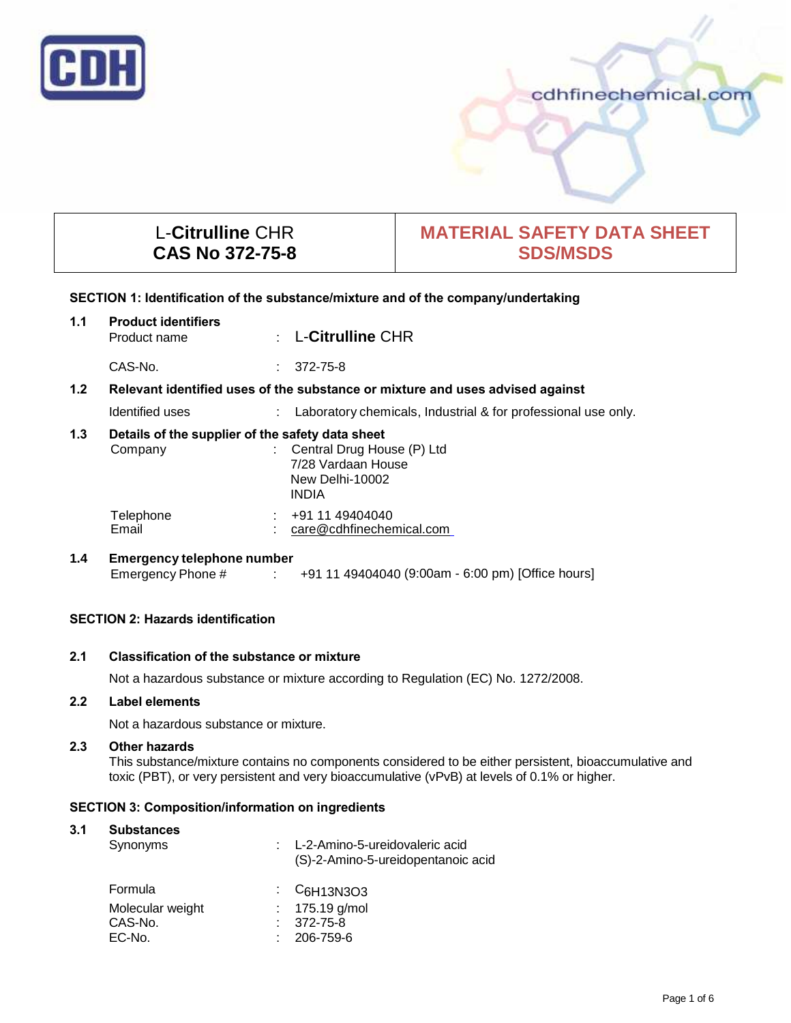

# cdhfinechemical.com

# L-**Citrulline** CHR **CAS No 372-75-8**

# **MATERIAL SAFETY DATA SHEET SDS/MSDS**

## **SECTION 1: Identification of the substance/mixture and of the company/undertaking**

| 1.1 | <b>Product identifiers</b><br>Product name                                    |  | $\therefore$ L-Citrulline CHR                                                         |  |
|-----|-------------------------------------------------------------------------------|--|---------------------------------------------------------------------------------------|--|
|     | CAS-No.                                                                       |  | 372-75-8                                                                              |  |
| 1.2 | Relevant identified uses of the substance or mixture and uses advised against |  |                                                                                       |  |
|     | Identified uses                                                               |  | : Laboratory chemicals, Industrial & for professional use only.                       |  |
| 1.3 | Details of the supplier of the safety data sheet<br>Company                   |  | : Central Drug House (P) Ltd<br>7/28 Vardaan House<br>New Delhi-10002<br><b>INDIA</b> |  |
|     | Telephone<br>Email                                                            |  | $\div$ +91 11 49404040<br>care@cdhfinechemical.com                                    |  |
| 1.4 | <b>Emergency telephone number</b><br>Emergency Phone #                        |  | +91 11 49404040 (9:00am - 6:00 pm) [Office hours]                                     |  |

# **SECTION 2: Hazards identification**

# **2.1 Classification of the substance or mixture**

Not a hazardous substance or mixture according to Regulation (EC) No. 1272/2008.

# **2.2 Label elements**

Not a hazardous substance or mixture.

#### **2.3 Other hazards**

This substance/mixture contains no components considered to be either persistent, bioaccumulative and toxic (PBT), or very persistent and very bioaccumulative (vPvB) at levels of 0.1% or higher.

### **SECTION 3: Composition/information on ingredients**

### **3.1 Substances**

| Synonyms         | : L-2-Amino-5-ureidovaleric acid<br>(S)-2-Amino-5-ureidopentanoic acid     |
|------------------|----------------------------------------------------------------------------|
| Formula          | $\frac{1}{2}$ C <sub>6</sub> H <sub>13</sub> N <sub>3</sub> O <sub>3</sub> |
| Molecular weight | : $175.19$ g/mol                                                           |
| CAS-No.          | $: 372 - 75 - 8$                                                           |
| EC-No.           | 206-759-6                                                                  |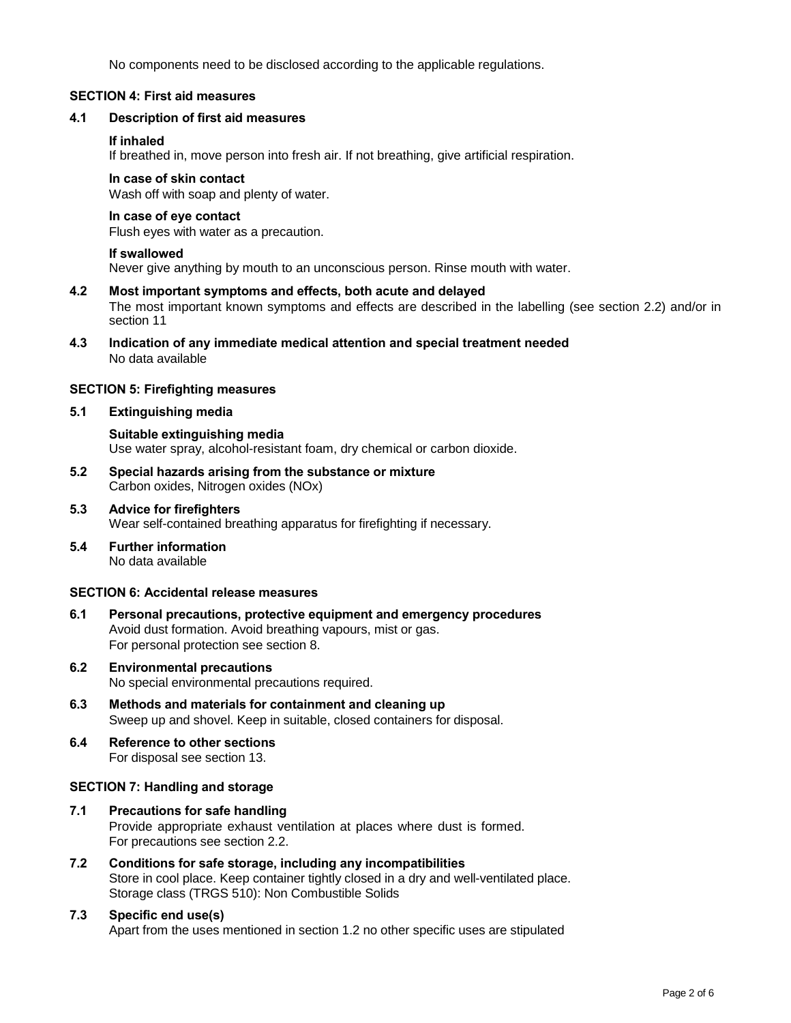No components need to be disclosed according to the applicable regulations.

### **SECTION 4: First aid measures**

### **4.1 Description of first aid measures**

### **If inhaled**

If breathed in, move person into fresh air. If not breathing, give artificial respiration.

#### **In case of skin contact**

Wash off with soap and plenty of water.

### **In case of eye contact**

Flush eyes with water as a precaution.

#### **If swallowed**

Never give anything by mouth to an unconscious person. Rinse mouth with water.

#### **4.2 Most important symptoms and effects, both acute and delayed**

The most important known symptoms and effects are described in the labelling (see section 2.2) and/or in section 11

**4.3 Indication of any immediate medical attention and special treatment needed** No data available

### **SECTION 5: Firefighting measures**

#### **5.1 Extinguishing media**

**Suitable extinguishing media** Use water spray, alcohol-resistant foam, dry chemical or carbon dioxide.

- **5.2 Special hazards arising from the substance or mixture** Carbon oxides, Nitrogen oxides (NOx)
- **5.3 Advice for firefighters** Wear self-contained breathing apparatus for firefighting if necessary.
- **5.4 Further information** No data available

#### **SECTION 6: Accidental release measures**

- **6.1 Personal precautions, protective equipment and emergency procedures** Avoid dust formation. Avoid breathing vapours, mist or gas. For personal protection see section 8.
- **6.2 Environmental precautions** No special environmental precautions required.
- **6.3 Methods and materials for containment and cleaning up** Sweep up and shovel. Keep in suitable, closed containers for disposal.
- **6.4 Reference to other sections** For disposal see section 13.

### **SECTION 7: Handling and storage**

- **7.1 Precautions for safe handling** Provide appropriate exhaust ventilation at places where dust is formed. For precautions see section 2.2.
- **7.2 Conditions for safe storage, including any incompatibilities** Store in cool place. Keep container tightly closed in a dry and well-ventilated place. Storage class (TRGS 510): Non Combustible Solids
- **7.3 Specific end use(s)** Apart from the uses mentioned in section 1.2 no other specific uses are stipulated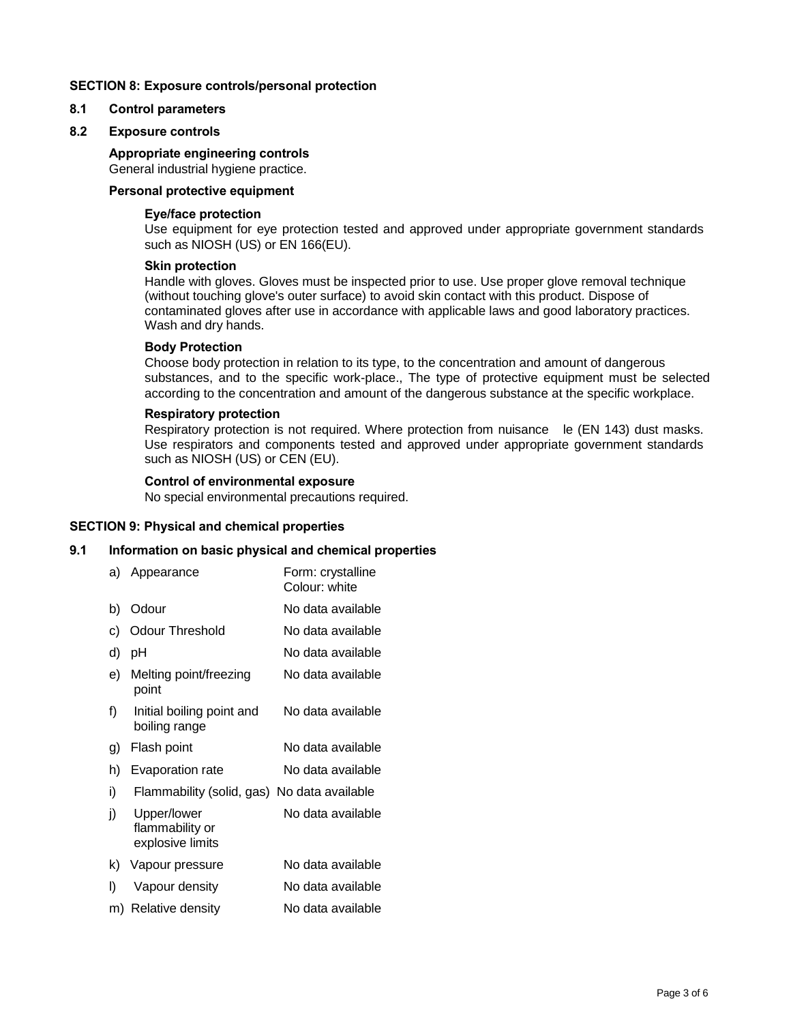### **SECTION 8: Exposure controls/personal protection**

### **8.1 Control parameters**

### **8.2 Exposure controls**

# **Appropriate engineering controls**

General industrial hygiene practice.

# **Personal protective equipment**

### **Eye/face protection**

Use equipment for eye protection tested and approved under appropriate government standards such as NIOSH (US) or EN 166(EU).

### **Skin protection**

Handle with gloves. Gloves must be inspected prior to use. Use proper glove removal technique (without touching glove's outer surface) to avoid skin contact with this product. Dispose of contaminated gloves after use in accordance with applicable laws and good laboratory practices. Wash and dry hands.

### **Body Protection**

Choose body protection in relation to its type, to the concentration and amount of dangerous substances, and to the specific work-place., The type of protective equipment must be selected according to the concentration and amount of the dangerous substance at the specific workplace.

### **Respiratory protection**

Respiratory protection is not required. Where protection from nuisance le (EN 143) dust masks. Use respirators and components tested and approved under appropriate government standards such as NIOSH (US) or CEN (EU).

### **Control of environmental exposure**

No special environmental precautions required.

### **SECTION 9: Physical and chemical properties**

### **9.1 Information on basic physical and chemical properties**

| a) | Appearance                                         | Form: crystalline<br>Colour: white |
|----|----------------------------------------------------|------------------------------------|
| b) | Odour                                              | No data available                  |
| C) | Odour Threshold                                    | No data available                  |
| d) | рH                                                 | No data available                  |
| e) | Melting point/freezing<br>point                    | No data available                  |
| f) | Initial boiling point and<br>boiling range         | No data available                  |
| g) | Flash point                                        | No data available                  |
| h) | Evaporation rate                                   | No data available                  |
| i) | Flammability (solid, gas) No data available        |                                    |
| j) | Upper/lower<br>flammability or<br>explosive limits | No data available                  |
| k) | Vapour pressure                                    | No data available                  |
| I) | Vapour density                                     | No data available                  |
|    | m) Relative density                                | No data available                  |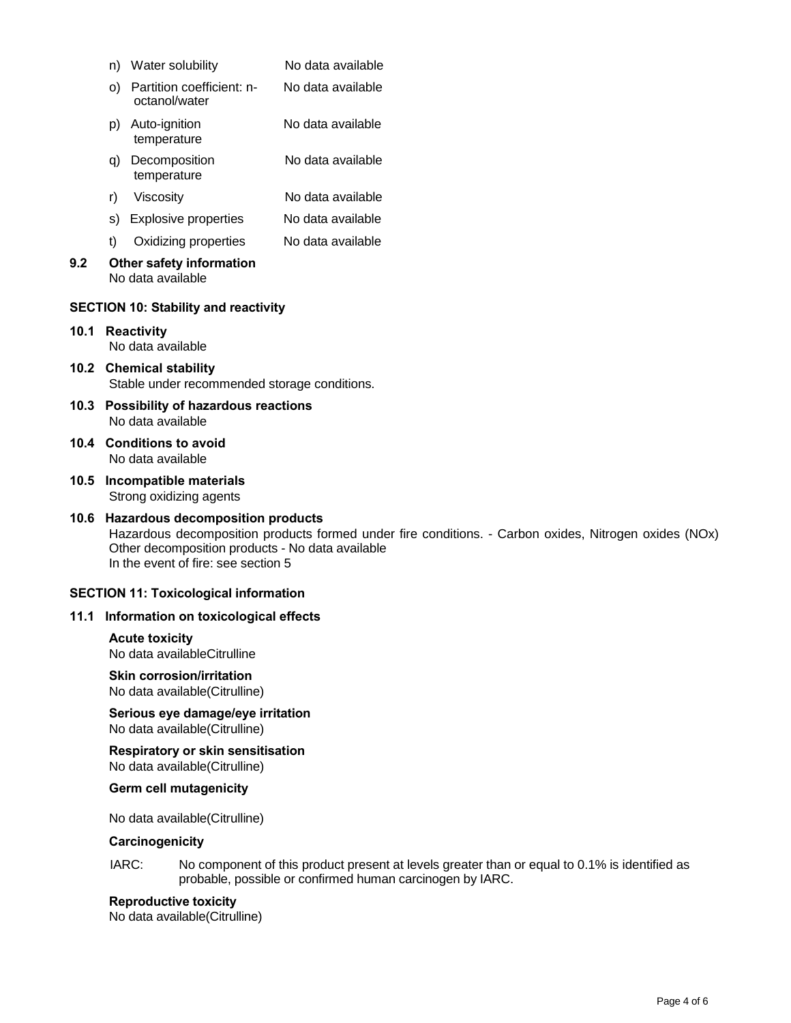|                                              |                                                                                                                                                                                                                                           | n) Water solubility                                  | No data available |  |  |  |
|----------------------------------------------|-------------------------------------------------------------------------------------------------------------------------------------------------------------------------------------------------------------------------------------------|------------------------------------------------------|-------------------|--|--|--|
|                                              | O)                                                                                                                                                                                                                                        | Partition coefficient: n-<br>octanol/water           | No data available |  |  |  |
|                                              |                                                                                                                                                                                                                                           | p) Auto-ignition<br>temperature                      | No data available |  |  |  |
|                                              | q)                                                                                                                                                                                                                                        | Decomposition<br>temperature                         | No data available |  |  |  |
|                                              | r)                                                                                                                                                                                                                                        | Viscosity                                            | No data available |  |  |  |
|                                              | S)                                                                                                                                                                                                                                        | <b>Explosive properties</b>                          | No data available |  |  |  |
|                                              | t)                                                                                                                                                                                                                                        | Oxidizing properties                                 | No data available |  |  |  |
| 9.2                                          |                                                                                                                                                                                                                                           | Other safety information<br>No data available        |                   |  |  |  |
|                                              |                                                                                                                                                                                                                                           | <b>SECTION 10: Stability and reactivity</b>          |                   |  |  |  |
|                                              |                                                                                                                                                                                                                                           | 10.1 Reactivity<br>No data available                 |                   |  |  |  |
|                                              | 10.2 Chemical stability<br>Stable under recommended storage conditions.                                                                                                                                                                   |                                                      |                   |  |  |  |
|                                              | 10.3 Possibility of hazardous reactions<br>No data available                                                                                                                                                                              |                                                      |                   |  |  |  |
|                                              | 10.4 Conditions to avoid<br>No data available                                                                                                                                                                                             |                                                      |                   |  |  |  |
|                                              | 10.5 Incompatible materials<br>Strong oxidizing agents                                                                                                                                                                                    |                                                      |                   |  |  |  |
|                                              | 10.6 Hazardous decomposition products<br>Hazardous decomposition products formed under fire conditions. - Carbon oxides, Nitrogen oxides (NOx)<br>Other decomposition products - No data available<br>In the event of fire: see section 5 |                                                      |                   |  |  |  |
| <b>SECTION 11: Toxicological information</b> |                                                                                                                                                                                                                                           |                                                      |                   |  |  |  |
|                                              | 11.1 Information on toxicological effects                                                                                                                                                                                                 |                                                      |                   |  |  |  |
|                                              |                                                                                                                                                                                                                                           | <b>Acute toxicity</b><br>No data availableCitrulline |                   |  |  |  |
|                                              | <b>Skin corrosion/irritation</b><br>No data available(Citrulline)                                                                                                                                                                         |                                                      |                   |  |  |  |

**Serious eye damage/eye irritation** No data available(Citrulline)

**Respiratory or skin sensitisation** No data available(Citrulline)

**Germ cell mutagenicity**

No data available(Citrulline)

## **Carcinogenicity**

IARC: No component of this product present at levels greater than or equal to 0.1% is identified as probable, possible or confirmed human carcinogen by IARC.

### **Reproductive toxicity**

No data available(Citrulline)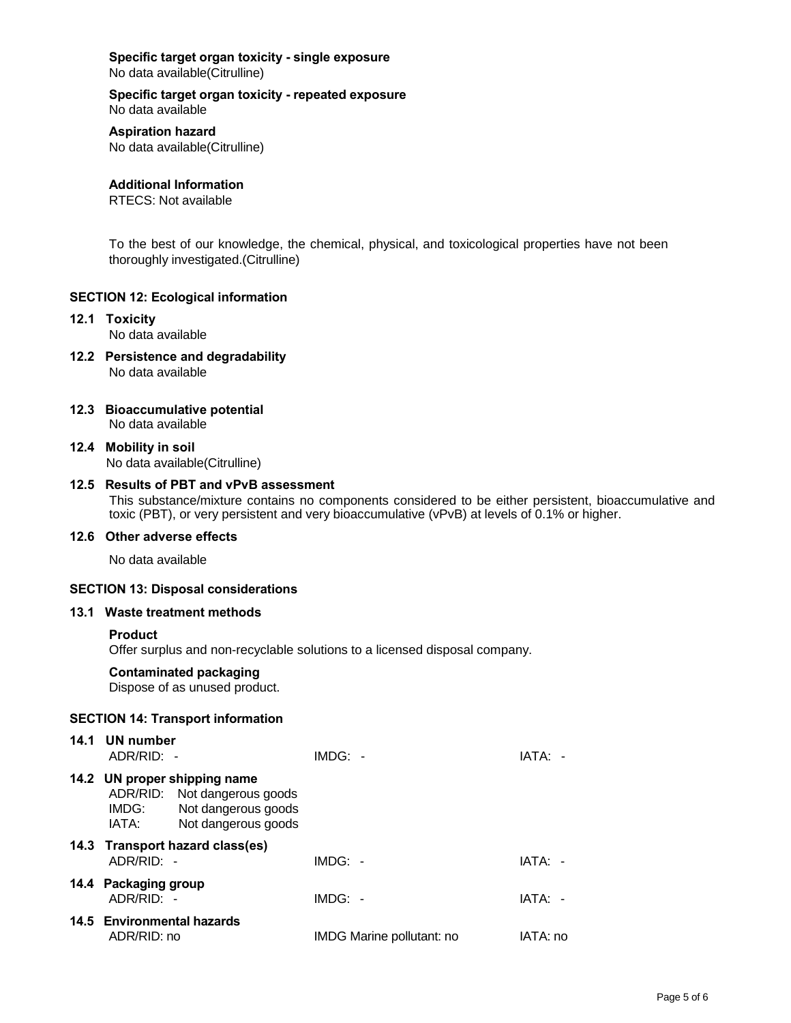**Specific target organ toxicity - single exposure** No data available(Citrulline)

**Specific target organ toxicity - repeated exposure** No data available

**Aspiration hazard** No data available(Citrulline)

**Additional Information**

RTECS: Not available

To the best of our knowledge, the chemical, physical, and toxicological properties have not been thoroughly investigated.(Citrulline)

### **SECTION 12: Ecological information**

- **12.1 Toxicity** No data available
- **12.2 Persistence and degradability** No data available
- **12.3 Bioaccumulative potential** No data available
- **12.4 Mobility in soil** No data available(Citrulline)
- **12.5 Results of PBT and vPvB assessment**

This substance/mixture contains no components considered to be either persistent, bioaccumulative and toxic (PBT), or very persistent and very bioaccumulative (vPvB) at levels of 0.1% or higher.

### **12.6 Other adverse effects**

No data available

## **SECTION 13: Disposal considerations**

### **13.1 Waste treatment methods**

#### **Product**

Offer surplus and non-recyclable solutions to a licensed disposal company.

# **Contaminated packaging**

Dispose of as unused product.

#### **SECTION 14: Transport information**

| 14.1 UN number<br>ADR/RID: -              |                                                                                                            | $IMDG: -$                 | IATA: -  |
|-------------------------------------------|------------------------------------------------------------------------------------------------------------|---------------------------|----------|
| IMDG:<br>IATA:                            | 14.2 UN proper shipping name<br>ADR/RID: Not dangerous goods<br>Not dangerous goods<br>Not dangerous goods |                           |          |
| $ADR/RID: -$                              | 14.3 Transport hazard class(es)                                                                            | $IMDG: -$                 | IATA: -  |
| 14.4 Packaging group<br>ADR/RID: -        |                                                                                                            | $IMDG: -$                 | IATA: -  |
| 14.5 Environmental hazards<br>ADR/RID: no |                                                                                                            | IMDG Marine pollutant: no | IATA: no |